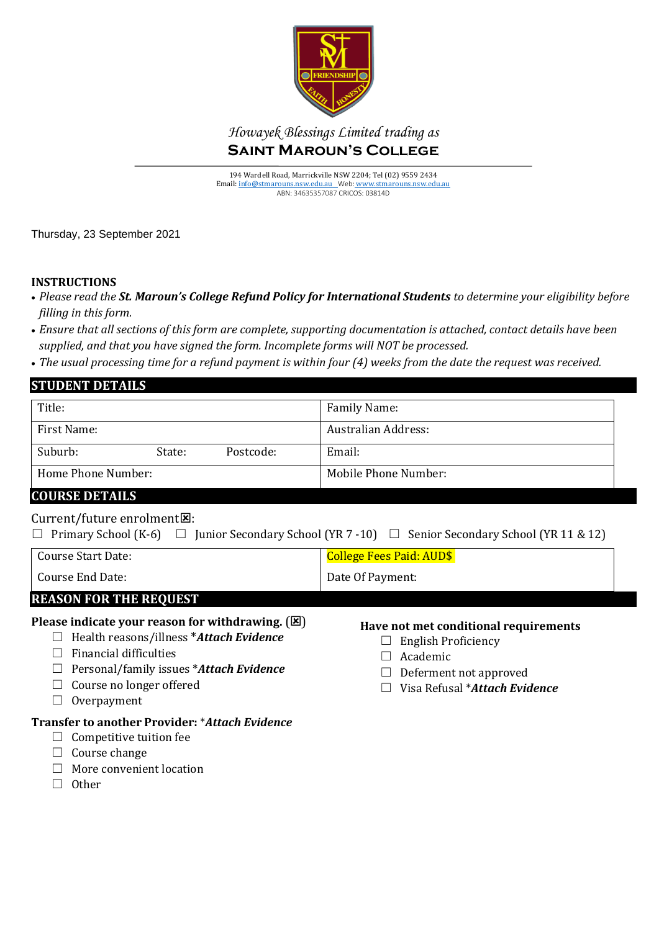

## *Howayek Blessings Limited trading as* **Saint Maroun's College**

194 Wardell Road, Marrickville NSW 2204; Tel (02) 9559 2434 Email[: info@stmarouns.nsw.edu.au](mailto:info@stmarouns.nsw.edu.au) Web: www.stmarouns.nsw.edu.au ABN: 34635357087 CRICOS: 03814D

Thursday, 23 September 2021

## **INSTRUCTIONS**

- *Please read the St. Maroun's College Refund Policy for International Students to determine your eligibility before filling in this form.*
- *Ensure that all sections of this form are complete, supporting documentation is attached, contact details have been supplied, and that you have signed the form. Incomplete forms will NOT be processed.*
- *The usual processing time for a refund payment is within four (4) weeks from the date the request was received.*

# **STUDENT DETAILS**

| Title:             |        |           | Family Name:         |
|--------------------|--------|-----------|----------------------|
| First Name:        |        |           | Australian Address:  |
| Suburb:            | State: | Postcode: | Email:               |
| Home Phone Number: |        |           | Mobile Phone Number: |

## **COURSE DETAILS**

Current/future enrolment<sup>[8]</sup>:

☐ Primary School (K-6) ☐ Junior Secondary School (YR 7 -10) ☐ Senior Secondary School (YR 11 & 12)

| Course Start Date:                 | <b>College Fees Paid: AUD\$</b> |
|------------------------------------|---------------------------------|
| Course End Date:                   | Date Of Payment:                |
| DE <i>l</i> Coni eod tiir deoiiect |                                 |

## **REASON FOR THE REQUEST**

## **Please indicate your reason for withdrawing.** (図)

- ☐ Health reasons/illness \**Attach Evidence*
- $\Box$  Financial difficulties
- ☐ Personal/family issues \**Attach Evidence*
- □ Course no longer offered
- ☐ Overpayment

## **Transfer to another Provider:** \**Attach Evidence*

- $\Box$  Competitive tuition fee
- $\Box$  Course change
- ☐ More convenient location
- ☐ Other

## **Have not met conditional requirements**

- □ English Proficiency
- □ Academic
- $\Box$  Deferment not approved
- ☐ Visa Refusal \**Attach Evidence*